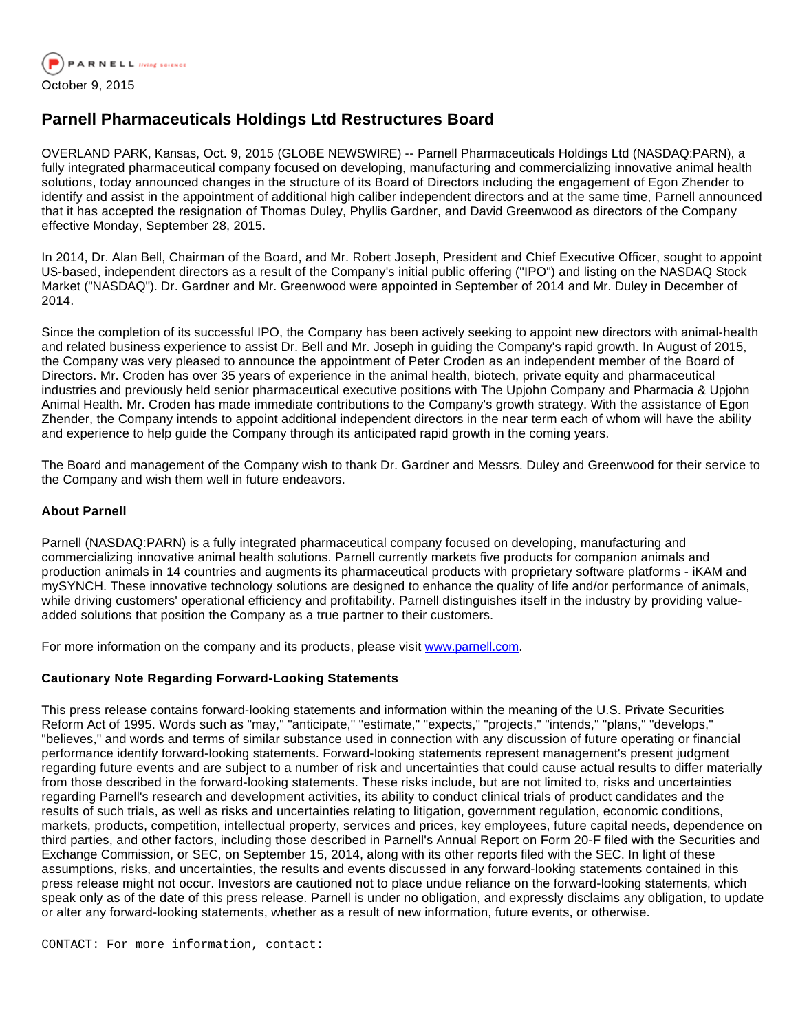

## **Parnell Pharmaceuticals Holdings Ltd Restructures Board**

OVERLAND PARK, Kansas, Oct. 9, 2015 (GLOBE NEWSWIRE) -- Parnell Pharmaceuticals Holdings Ltd (NASDAQ:PARN), a fully integrated pharmaceutical company focused on developing, manufacturing and commercializing innovative animal health solutions, today announced changes in the structure of its Board of Directors including the engagement of Egon Zhender to identify and assist in the appointment of additional high caliber independent directors and at the same time, Parnell announced that it has accepted the resignation of Thomas Duley, Phyllis Gardner, and David Greenwood as directors of the Company effective Monday, September 28, 2015.

In 2014, Dr. Alan Bell, Chairman of the Board, and Mr. Robert Joseph, President and Chief Executive Officer, sought to appoint US-based, independent directors as a result of the Company's initial public offering ("IPO") and listing on the NASDAQ Stock Market ("NASDAQ"). Dr. Gardner and Mr. Greenwood were appointed in September of 2014 and Mr. Duley in December of 2014.

Since the completion of its successful IPO, the Company has been actively seeking to appoint new directors with animal-health and related business experience to assist Dr. Bell and Mr. Joseph in guiding the Company's rapid growth. In August of 2015, the Company was very pleased to announce the appointment of Peter Croden as an independent member of the Board of Directors. Mr. Croden has over 35 years of experience in the animal health, biotech, private equity and pharmaceutical industries and previously held senior pharmaceutical executive positions with The Upjohn Company and Pharmacia & Upjohn Animal Health. Mr. Croden has made immediate contributions to the Company's growth strategy. With the assistance of Egon Zhender, the Company intends to appoint additional independent directors in the near term each of whom will have the ability and experience to help quide the Company through its anticipated rapid growth in the coming years.

The Board and management of the Company wish to thank Dr. Gardner and Messrs. Duley and Greenwood for their service to the Company and wish them well in future endeavors.

## **About Parnell**

Parnell (NASDAQ:PARN) is a fully integrated pharmaceutical company focused on developing, manufacturing and commercializing innovative animal health solutions. Parnell currently markets five products for companion animals and production animals in 14 countries and augments its pharmaceutical products with proprietary software platforms - iKAM and mySYNCH. These innovative technology solutions are designed to enhance the quality of life and/or performance of animals, while driving customers' operational efficiency and profitability. Parnell distinguishes itself in the industry by providing valueadded solutions that position the Company as a true partner to their customers.

For more information on the company and its products, please visit [www.parnell.com](http://www.globenewswire.com/newsroom/ctr?d=10152131&l=7&a=www.parnell.com&u=http%3A%2F%2Fwww.parnell.com).

## **Cautionary Note Regarding Forward-Looking Statements**

This press release contains forward-looking statements and information within the meaning of the U.S. Private Securities Reform Act of 1995. Words such as "may," "anticipate," "estimate," "expects," "projects," "intends," "plans," "develops," "believes," and words and terms of similar substance used in connection with any discussion of future operating or financial performance identify forward-looking statements. Forward-looking statements represent management's present judgment regarding future events and are subject to a number of risk and uncertainties that could cause actual results to differ materially from those described in the forward-looking statements. These risks include, but are not limited to, risks and uncertainties regarding Parnell's research and development activities, its ability to conduct clinical trials of product candidates and the results of such trials, as well as risks and uncertainties relating to litigation, government regulation, economic conditions, markets, products, competition, intellectual property, services and prices, key employees, future capital needs, dependence on third parties, and other factors, including those described in Parnell's Annual Report on Form 20-F filed with the Securities and Exchange Commission, or SEC, on September 15, 2014, along with its other reports filed with the SEC. In light of these assumptions, risks, and uncertainties, the results and events discussed in any forward-looking statements contained in this press release might not occur. Investors are cautioned not to place undue reliance on the forward-looking statements, which speak only as of the date of this press release. Parnell is under no obligation, and expressly disclaims any obligation, to update or alter any forward-looking statements, whether as a result of new information, future events, or otherwise.